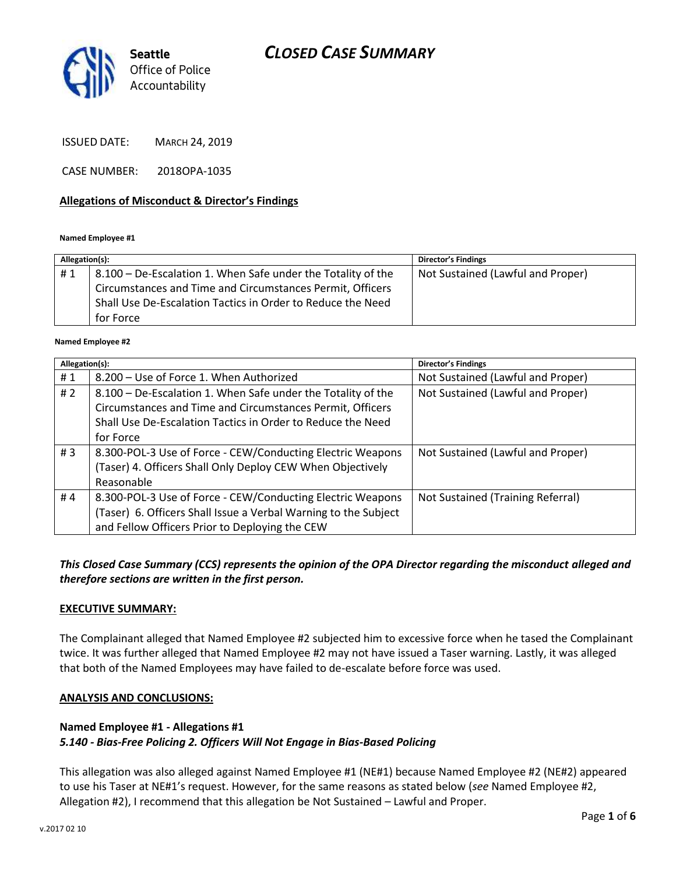

ISSUED DATE: MARCH 24, 2019

CASE NUMBER: 2018OPA-1035

#### **Allegations of Misconduct & Director's Findings**

#### **Named Employee #1**

| Allegation(s): |                                                              | <b>Director's Findings</b>        |
|----------------|--------------------------------------------------------------|-----------------------------------|
| #1             | 8.100 – De-Escalation 1. When Safe under the Totality of the | Not Sustained (Lawful and Proper) |
|                | Circumstances and Time and Circumstances Permit, Officers    |                                   |
|                | Shall Use De-Escalation Tactics in Order to Reduce the Need  |                                   |
|                | for Force                                                    |                                   |
|                |                                                              |                                   |

#### **Named Employee #2**

| Allegation(s):   |                                                                 | <b>Director's Findings</b>        |
|------------------|-----------------------------------------------------------------|-----------------------------------|
| #1               | 8.200 – Use of Force 1. When Authorized                         | Not Sustained (Lawful and Proper) |
| #2               | 8.100 - De-Escalation 1. When Safe under the Totality of the    | Not Sustained (Lawful and Proper) |
|                  | Circumstances and Time and Circumstances Permit, Officers       |                                   |
|                  | Shall Use De-Escalation Tactics in Order to Reduce the Need     |                                   |
|                  | for Force                                                       |                                   |
| # $\overline{3}$ | 8.300-POL-3 Use of Force - CEW/Conducting Electric Weapons      | Not Sustained (Lawful and Proper) |
|                  | (Taser) 4. Officers Shall Only Deploy CEW When Objectively      |                                   |
|                  | Reasonable                                                      |                                   |
| #4               | 8.300-POL-3 Use of Force - CEW/Conducting Electric Weapons      | Not Sustained (Training Referral) |
|                  | (Taser) 6. Officers Shall Issue a Verbal Warning to the Subject |                                   |
|                  | and Fellow Officers Prior to Deploying the CEW                  |                                   |

### *This Closed Case Summary (CCS) represents the opinion of the OPA Director regarding the misconduct alleged and therefore sections are written in the first person.*

#### **EXECUTIVE SUMMARY:**

The Complainant alleged that Named Employee #2 subjected him to excessive force when he tased the Complainant twice. It was further alleged that Named Employee #2 may not have issued a Taser warning. Lastly, it was alleged that both of the Named Employees may have failed to de-escalate before force was used.

#### **ANALYSIS AND CONCLUSIONS:**

#### **Named Employee #1 - Allegations #1** *5.140 - Bias-Free Policing 2. Officers Will Not Engage in Bias-Based Policing*

This allegation was also alleged against Named Employee #1 (NE#1) because Named Employee #2 (NE#2) appeared to use his Taser at NE#1's request. However, for the same reasons as stated below (*see* Named Employee #2, Allegation #2), I recommend that this allegation be Not Sustained – Lawful and Proper.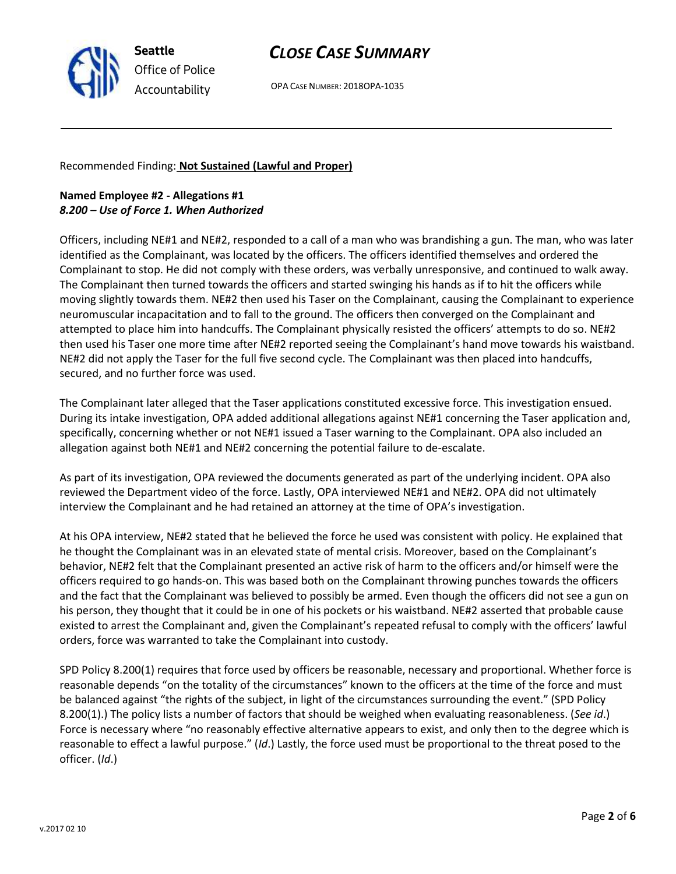

OPA CASE NUMBER: 2018OPA-1035

Recommended Finding: **Not Sustained (Lawful and Proper)**

### **Named Employee #2 - Allegations #1** *8.200 – Use of Force 1. When Authorized*

Officers, including NE#1 and NE#2, responded to a call of a man who was brandishing a gun. The man, who was later identified as the Complainant, was located by the officers. The officers identified themselves and ordered the Complainant to stop. He did not comply with these orders, was verbally unresponsive, and continued to walk away. The Complainant then turned towards the officers and started swinging his hands as if to hit the officers while moving slightly towards them. NE#2 then used his Taser on the Complainant, causing the Complainant to experience neuromuscular incapacitation and to fall to the ground. The officers then converged on the Complainant and attempted to place him into handcuffs. The Complainant physically resisted the officers' attempts to do so. NE#2 then used his Taser one more time after NE#2 reported seeing the Complainant's hand move towards his waistband. NE#2 did not apply the Taser for the full five second cycle. The Complainant was then placed into handcuffs, secured, and no further force was used.

The Complainant later alleged that the Taser applications constituted excessive force. This investigation ensued. During its intake investigation, OPA added additional allegations against NE#1 concerning the Taser application and, specifically, concerning whether or not NE#1 issued a Taser warning to the Complainant. OPA also included an allegation against both NE#1 and NE#2 concerning the potential failure to de-escalate.

As part of its investigation, OPA reviewed the documents generated as part of the underlying incident. OPA also reviewed the Department video of the force. Lastly, OPA interviewed NE#1 and NE#2. OPA did not ultimately interview the Complainant and he had retained an attorney at the time of OPA's investigation.

At his OPA interview, NE#2 stated that he believed the force he used was consistent with policy. He explained that he thought the Complainant was in an elevated state of mental crisis. Moreover, based on the Complainant's behavior, NE#2 felt that the Complainant presented an active risk of harm to the officers and/or himself were the officers required to go hands-on. This was based both on the Complainant throwing punches towards the officers and the fact that the Complainant was believed to possibly be armed. Even though the officers did not see a gun on his person, they thought that it could be in one of his pockets or his waistband. NE#2 asserted that probable cause existed to arrest the Complainant and, given the Complainant's repeated refusal to comply with the officers' lawful orders, force was warranted to take the Complainant into custody.

SPD Policy 8.200(1) requires that force used by officers be reasonable, necessary and proportional. Whether force is reasonable depends "on the totality of the circumstances" known to the officers at the time of the force and must be balanced against "the rights of the subject, in light of the circumstances surrounding the event." (SPD Policy 8.200(1).) The policy lists a number of factors that should be weighed when evaluating reasonableness. (*See id*.) Force is necessary where "no reasonably effective alternative appears to exist, and only then to the degree which is reasonable to effect a lawful purpose." (*Id*.) Lastly, the force used must be proportional to the threat posed to the officer. (*Id*.)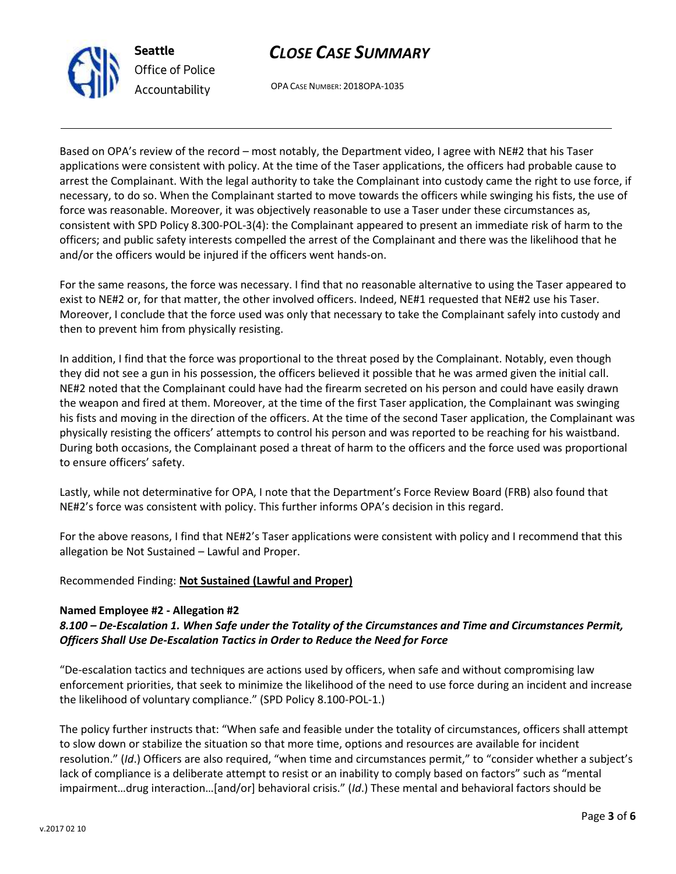

OPA CASE NUMBER: 2018OPA-1035

Based on OPA's review of the record – most notably, the Department video, I agree with NE#2 that his Taser applications were consistent with policy. At the time of the Taser applications, the officers had probable cause to arrest the Complainant. With the legal authority to take the Complainant into custody came the right to use force, if necessary, to do so. When the Complainant started to move towards the officers while swinging his fists, the use of force was reasonable. Moreover, it was objectively reasonable to use a Taser under these circumstances as, consistent with SPD Policy 8.300-POL-3(4): the Complainant appeared to present an immediate risk of harm to the officers; and public safety interests compelled the arrest of the Complainant and there was the likelihood that he and/or the officers would be injured if the officers went hands-on.

For the same reasons, the force was necessary. I find that no reasonable alternative to using the Taser appeared to exist to NE#2 or, for that matter, the other involved officers. Indeed, NE#1 requested that NE#2 use his Taser. Moreover, I conclude that the force used was only that necessary to take the Complainant safely into custody and then to prevent him from physically resisting.

In addition, I find that the force was proportional to the threat posed by the Complainant. Notably, even though they did not see a gun in his possession, the officers believed it possible that he was armed given the initial call. NE#2 noted that the Complainant could have had the firearm secreted on his person and could have easily drawn the weapon and fired at them. Moreover, at the time of the first Taser application, the Complainant was swinging his fists and moving in the direction of the officers. At the time of the second Taser application, the Complainant was physically resisting the officers' attempts to control his person and was reported to be reaching for his waistband. During both occasions, the Complainant posed a threat of harm to the officers and the force used was proportional to ensure officers' safety.

Lastly, while not determinative for OPA, I note that the Department's Force Review Board (FRB) also found that NE#2's force was consistent with policy. This further informs OPA's decision in this regard.

For the above reasons, I find that NE#2's Taser applications were consistent with policy and I recommend that this allegation be Not Sustained – Lawful and Proper.

Recommended Finding: **Not Sustained (Lawful and Proper)**

### **Named Employee #2 - Allegation #2**

*8.100 – De-Escalation 1. When Safe under the Totality of the Circumstances and Time and Circumstances Permit, Officers Shall Use De-Escalation Tactics in Order to Reduce the Need for Force*

"De-escalation tactics and techniques are actions used by officers, when safe and without compromising law enforcement priorities, that seek to minimize the likelihood of the need to use force during an incident and increase the likelihood of voluntary compliance." (SPD Policy 8.100-POL-1.)

The policy further instructs that: "When safe and feasible under the totality of circumstances, officers shall attempt to slow down or stabilize the situation so that more time, options and resources are available for incident resolution." (*Id*.) Officers are also required, "when time and circumstances permit," to "consider whether a subject's lack of compliance is a deliberate attempt to resist or an inability to comply based on factors" such as "mental impairment…drug interaction…[and/or] behavioral crisis." (*Id*.) These mental and behavioral factors should be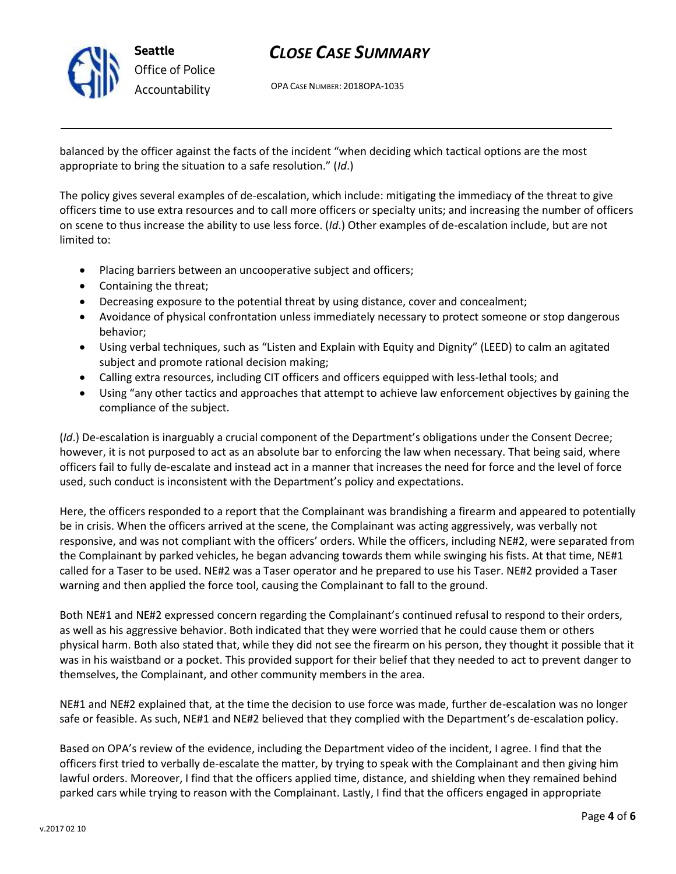

OPA CASE NUMBER: 2018OPA-1035

balanced by the officer against the facts of the incident "when deciding which tactical options are the most appropriate to bring the situation to a safe resolution." (*Id*.)

The policy gives several examples of de-escalation, which include: mitigating the immediacy of the threat to give officers time to use extra resources and to call more officers or specialty units; and increasing the number of officers on scene to thus increase the ability to use less force. (*Id*.) Other examples of de-escalation include, but are not limited to:

- Placing barriers between an uncooperative subject and officers;
- Containing the threat;
- Decreasing exposure to the potential threat by using distance, cover and concealment;
- Avoidance of physical confrontation unless immediately necessary to protect someone or stop dangerous behavior;
- Using verbal techniques, such as "Listen and Explain with Equity and Dignity" (LEED) to calm an agitated subject and promote rational decision making;
- Calling extra resources, including CIT officers and officers equipped with less-lethal tools; and
- Using "any other tactics and approaches that attempt to achieve law enforcement objectives by gaining the compliance of the subject.

(*Id*.) De-escalation is inarguably a crucial component of the Department's obligations under the Consent Decree; however, it is not purposed to act as an absolute bar to enforcing the law when necessary. That being said, where officers fail to fully de-escalate and instead act in a manner that increases the need for force and the level of force used, such conduct is inconsistent with the Department's policy and expectations.

Here, the officers responded to a report that the Complainant was brandishing a firearm and appeared to potentially be in crisis. When the officers arrived at the scene, the Complainant was acting aggressively, was verbally not responsive, and was not compliant with the officers' orders. While the officers, including NE#2, were separated from the Complainant by parked vehicles, he began advancing towards them while swinging his fists. At that time, NE#1 called for a Taser to be used. NE#2 was a Taser operator and he prepared to use his Taser. NE#2 provided a Taser warning and then applied the force tool, causing the Complainant to fall to the ground.

Both NE#1 and NE#2 expressed concern regarding the Complainant's continued refusal to respond to their orders, as well as his aggressive behavior. Both indicated that they were worried that he could cause them or others physical harm. Both also stated that, while they did not see the firearm on his person, they thought it possible that it was in his waistband or a pocket. This provided support for their belief that they needed to act to prevent danger to themselves, the Complainant, and other community members in the area.

NE#1 and NE#2 explained that, at the time the decision to use force was made, further de-escalation was no longer safe or feasible. As such, NE#1 and NE#2 believed that they complied with the Department's de-escalation policy.

Based on OPA's review of the evidence, including the Department video of the incident, I agree. I find that the officers first tried to verbally de-escalate the matter, by trying to speak with the Complainant and then giving him lawful orders. Moreover, I find that the officers applied time, distance, and shielding when they remained behind parked cars while trying to reason with the Complainant. Lastly, I find that the officers engaged in appropriate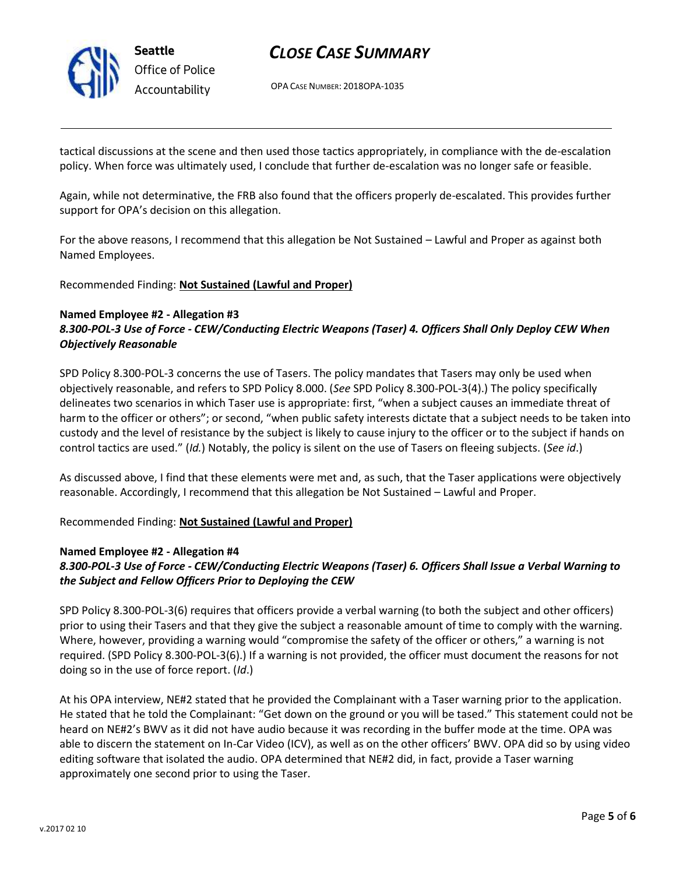

OPA CASE NUMBER: 2018OPA-1035

tactical discussions at the scene and then used those tactics appropriately, in compliance with the de-escalation policy. When force was ultimately used, I conclude that further de-escalation was no longer safe or feasible.

Again, while not determinative, the FRB also found that the officers properly de-escalated. This provides further support for OPA's decision on this allegation.

For the above reasons, I recommend that this allegation be Not Sustained – Lawful and Proper as against both Named Employees.

Recommended Finding: **Not Sustained (Lawful and Proper)**

### **Named Employee #2 - Allegation #3**

### *8.300-POL-3 Use of Force - CEW/Conducting Electric Weapons (Taser) 4. Officers Shall Only Deploy CEW When Objectively Reasonable*

SPD Policy 8.300-POL-3 concerns the use of Tasers. The policy mandates that Tasers may only be used when objectively reasonable, and refers to SPD Policy 8.000. (*See* SPD Policy 8.300-POL-3(4).) The policy specifically delineates two scenarios in which Taser use is appropriate: first, "when a subject causes an immediate threat of harm to the officer or others"; or second, "when public safety interests dictate that a subject needs to be taken into custody and the level of resistance by the subject is likely to cause injury to the officer or to the subject if hands on control tactics are used." (*Id.*) Notably, the policy is silent on the use of Tasers on fleeing subjects. (*See id*.)

As discussed above, I find that these elements were met and, as such, that the Taser applications were objectively reasonable. Accordingly, I recommend that this allegation be Not Sustained – Lawful and Proper.

Recommended Finding: **Not Sustained (Lawful and Proper)**

### **Named Employee #2 - Allegation #4**

### *8.300-POL-3 Use of Force - CEW/Conducting Electric Weapons (Taser) 6. Officers Shall Issue a Verbal Warning to the Subject and Fellow Officers Prior to Deploying the CEW*

SPD Policy 8.300-POL-3(6) requires that officers provide a verbal warning (to both the subject and other officers) prior to using their Tasers and that they give the subject a reasonable amount of time to comply with the warning. Where, however, providing a warning would "compromise the safety of the officer or others," a warning is not required. (SPD Policy 8.300-POL-3(6).) If a warning is not provided, the officer must document the reasons for not doing so in the use of force report. (*Id*.)

At his OPA interview, NE#2 stated that he provided the Complainant with a Taser warning prior to the application. He stated that he told the Complainant: "Get down on the ground or you will be tased." This statement could not be heard on NE#2's BWV as it did not have audio because it was recording in the buffer mode at the time. OPA was able to discern the statement on In-Car Video (ICV), as well as on the other officers' BWV. OPA did so by using video editing software that isolated the audio. OPA determined that NE#2 did, in fact, provide a Taser warning approximately one second prior to using the Taser.